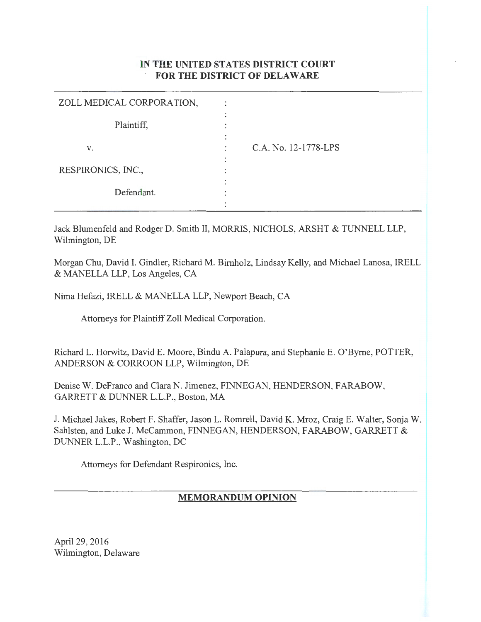# IN **THE UNITED STATES DISTRICT COURT FOR THE DISTRICT OF DELAWARE**

| ZOLL MEDICAL CORPORATION, | ٠           |                      |
|---------------------------|-------------|----------------------|
| Plaintiff,                | ٠<br>٠<br>٠ |                      |
| V.                        | ٠           | C.A. No. 12-1778-LPS |
| RESPIRONICS, INC.,        | ٠<br>٠<br>٠ |                      |
| Defendant.                | ٠<br>٠<br>٠ |                      |
|                           | ٠           |                      |

Jack Blumenfeld and Rodger D. Smith II, MORRIS, NICHOLS, ARSHT & TUNNELL LLP, Wilmington, DE

Morgan Chu, David I. Gindler, Richard M. Birnholz, Lindsay Kelly, and Michael Lanosa, IRELL & MANELLA LLP, Los Angeles, CA

Nima Hefazi, IRELL & MANELLA LLP, Newport Beach, CA

Attorneys for Plaintiff Zoll Medical Corporation.

Richard L. Horwitz, David E. Moore, Bindu A. Palapura, and Stephanie E. O'Byme, POTTER, ANDERSON & CORROON LLP, Wilmington, DE

Denise W. DeFranco and Clara N. Jimenez, FINNEGAN, HENDERSON, FARABOW, GARRETT & DUNNER L.L.P., Boston, MA

J. Michael Jakes, Robert F. Shaffer, Jason L. Romrell, David K. Mroz, Craig E. Walter, Sonja W. Sahlsten, and Luke J. McCammon, FINNEGAN, HENDERSON, FARABOW, GARRETT & DUNNER L.L.P., Washington, DC

Attorneys for Defendant Respironics, Inc.

# **MEMORANDUM OPINION**

April29, 2016 Wilmington, Delaware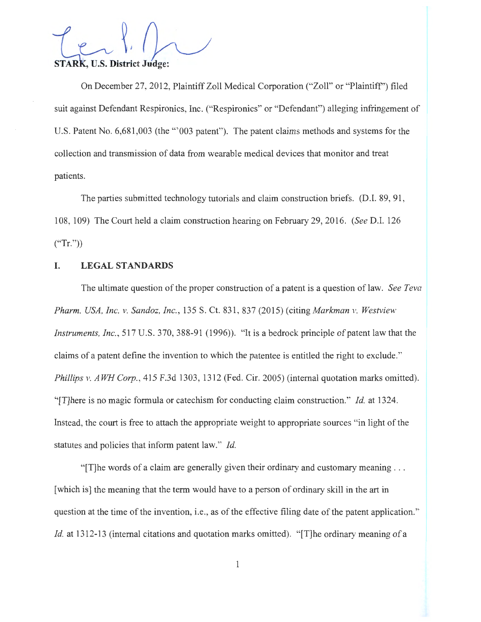STARK, U.S. District Judge:

On December 27, 2012, Plaintiff Zoll Medical Corporation ("Zoll" or "Plaintiff") filed suit against Defendant Respironics, Inc. ("Respironics" or "Defendant") alleging infringement of U.S. Patent No. 6,681,003 (the "'003 patent"). The patent claims methods and systems for the collection and transmission of data from wearable medical devices that monitor and treat patients.

The parties submitted technology tutorials and claim construction briefs. (D.I. 89, 91, 108, 109) The Court held a claim construction hearing on February 29, 2016. *(See* D.I. 126  $("Tr."$ )

# **I. LEGAL STANDARDS**

The ultimate question of the proper construction of a patent is a question of law. *See Teva Pharm. USA, Inc. v. Sandoz, Inc. ,* 135 S. Ct. 831 , 837 (2015) (citing *Markman v. Westview Instruments, Inc. ,* 517 U.S. 370, 388-91 (1996)). "It is a bedrock principle of patent law that the claims of a patent define the invention to which the patentee is entitled the right to exclude." *Phillips v. AWH Corp.,* 415 F.3d 1303, 1312 (Fed. Cir. 2005) (internal quotation marks omitted). "[T]here is no magic formula or catechism for conducting claim construction." *Id.* at 1324. Instead, the court is free to attach the appropriate weight to appropriate sources "in light of the statutes and policies that inform patent law." *Id.* 

"[T]he words of a claim are generally given their ordinary and customary meaning ... [which is] the meaning that the term would have to a person of ordinary skill in the art in question at the time of the invention, i.e., as of the effective filing date of the patent application." *Id.* at 1312-13 (internal citations and quotation marks omitted). "[T]he ordinary meaning of a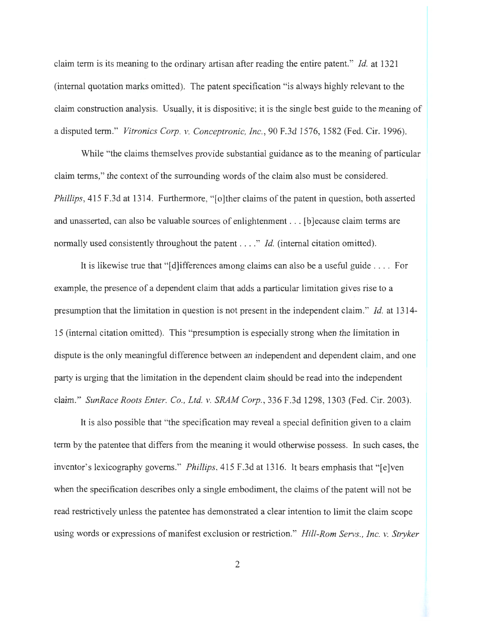claim term is its meaning to the ordinary artisan after reading the entire patent." *Id.* at 1321 (internal quotation marks omitted). The patent specification "is always highly relevant to the claim construction analysis. Usually, it is dispositive; it is the single best guide to the meaning of a disputed term." *Vitronics Corp. v. Conceptronic, Inc. ,* 90 F.3d 1576, 1582 (Fed. Cir. 1996).

While "the claims themselves provide substantial guidance as to the meaning of particular claim terms," the context of the surrounding words of the claim also must be considered. *Phillips*, 415 F.3d at 1314. Furthermore, "[o]ther claims of the patent in question, both asserted and unasserted, can also be valuable sources of enlightenment ... [b ]ecause claim terms are normally used consistently throughout the patent . . . ." *Id.* (internal citation omitted).

It is likewise true that " $\left[\text{d}\right]$  ifferences among claims can also be a useful guide .... For example, the presence of a dependent claim that adds a particular limitation gives rise to a presumption that the limitation in question is not present in the independent claim." *Id.* at 1314- 15 (internal citation omitted). This "presumption is especially strong when the limitation in dispute is the only meaningful difference between an independent and dependent claim, and one party is urging that the limitation in the dependent claim should be read into the independent claim." *SunRace Roots Enter. Co., Ltd. v. SRAM Corp. ,* 336 F.3d 1298, 1303 (Fed. Cir. 2003).

It is also possible that "the specification may reveal a special definition given to a claim term by the patentee that differs from the meaning it would otherwise possess. In such cases, the inventor's lexicography governs." *Phillips,* 415 F.3d at 1316. It bears emphasis that "[e]ven when the specification describes only a single embodiment, the claims of the patent will not be read restrictively unless the patentee has demonstrated a clear intention to limit the claim scope using words or expressions of manifest exclusion or restriction." *Hill-Rom Servs., Inc. v. Stryker*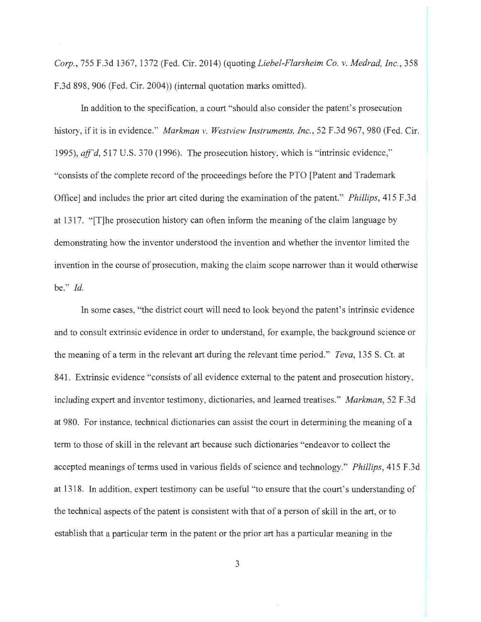*Corp.,* 755 F.3d 1367, 1372 (Fed. Cir. 2014) (quoting *Liebel-Flarsheim Co. v. Medrad, Inc.,* 358 F.3d 898, 906 (Fed. Cir. 2004)) (internal quotation marks omitted).

In addition to the specification, a court "should also consider the patent's prosecution history, if it is in evidence." *Markman v. Westview Instruments, Inc. ,* 52 F.3d 967, 980 (Fed. Cir. 1995), *aff'd,* 517 U.S. 370 (1996). The prosecution history, which is "intrinsic evidence," "consists of the complete record of the proceedings before the PTO [Patent and Trademark Office] and includes the prior art cited during the examination of the patent." *Phillips,* 415 F.3d at 1317. "[T]he prosecution history can often inform the meaning of the claim language by demonstrating how the inventor understood the invention and whether the inventor limited the invention in the course of prosecution, making the claim scope narrower than it would otherwise be." *Id.* 

In some cases, "the district court will need to look beyond the patent's intrinsic evidence and to consult extrinsic evidence in order to understand, for example, the background science or the meaning of a term in the relevant art during the relevant time period." *Teva*, 135 S. Ct. at 841. Extrinsic evidence "consists of all evidence external to the patent and prosecution history, including expert and inventor testimony, dictionaries, and learned treatises." *Markman,* 52 F.3d at 980. For instance, technical dictionaries can assist the court in determining the meaning of a term to those of skill in the relevant art because such dictionaries "endeavor to collect the accepted meanings of terms used in various fields of science and technology." *Phillips,* 415 F.3d at 1318. In addition, expert testimony can be useful "to ensure that the court's understanding of the technical aspects of the patent is consistent with that of a person of skill in the art, or to establish that a particular term in the patent or the prior art has a particular meaning in the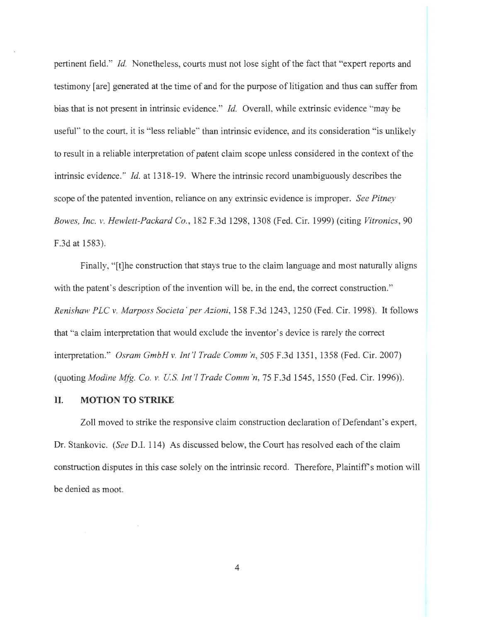pertinent field." *Id.* Nonetheless, courts must not lose sight of the fact that "expert reports and testimony [are] generated at the time of and for the purpose of litigation and thus can suffer from bias that is not present in intrinsic evidence." *Id.* Overall, while extrinsic evidence "may be useful" to the court, it is "less reliable" than intrinsic evidence, and its consideration "is unlikely to result in a reliable interpretation of patent claim scope unless considered in the context of the intrinsic evidence." *Id.* at 1318-19. Where the intrinsic record unambiguously describes the scope of the patented invention, reliance on any extrinsic evidence is improper. *See Pitney Bowes, Inc. v. Hewlett-Packard Co.,* 182 F.3d 1298, 1308 (Fed. Cir. 1999) (citing *Vitronics,* 90 F.3d at 1583).

Finally, "It the construction that stays true to the claim language and most naturally aligns with the patent's description of the invention will be, in the end, the correct construction." *Renishaw PLC v. Marposs Societa ' per Azioni,* 158 F.3d 1243, 1250 (Fed. Cir. 1998). It follows that "a claim interpretation that would exclude the inventor's device is rarely the correct interpretation." *Osram GmbH v. Int'/ Trade Comm 'n,* 505 F.3d 1351 , 1358 (Fed. Cir. 2007) (quoting *Modine Mfg. Co. v. U.S. Int '/ Trade Comm 'n,* 75 F.3d 1545, 1550 (Fed. Cir. 1996)).

#### **II. MOTION TO STRIKE**

Zoll moved to strike the responsive claim construction declaration of Defendant's expert, Dr. Stankovic. *(See* D.I. 114) As discussed below, the Court has resolved each of the claim construction disputes in this case solely on the intrinsic record. Therefore, Plaintiff's motion will be denied as moot.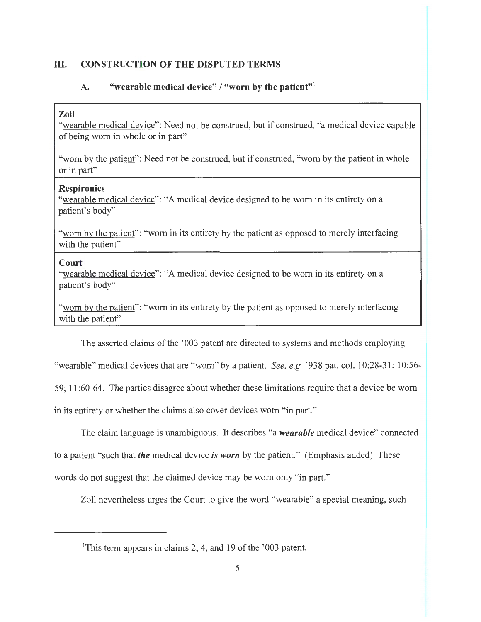### **III. CONSTRUCTION OF THE DISPUTED TERMS**

### A. "wearable medical device" / "worn by the patient"<sup>1</sup>

### **Zoll**

"wearable medical device": Need not be construed, but if construed, "a medical device capable of being worn in whole or in part"

"worn by the patient": Need not be construed, but if construed, "worn by the patient in whole or in part"

#### **Respironics**

"wearable medical device": "A medical device designed to be worn in its entirety on a patient's body"

"worn by the patient": "worn in its entirety by the patient as opposed to merely interfacing with the patient"

#### **Court**

"wearable medical device": "A medical device designed to be worn in its entirety on a patient's body"

"worn by the patient": "worn in its entirety by the patient as opposed to merely interfacing with the patient"

The asserted claims of the '003 patent are directed to systems and methods employing "wearable" medical devices that are "worn" by a patient. *See, e.g.* '938 pat. col. 10:28-31; 10:56-59; 11 :60-64. The parties disagree about whether these limitations require that a device be worn in its entirety or whether the claims also cover devices worn "in part."

The claim language is unambiguous. It describes "a *wearable* medical device" connected

to a patient "such that *the* medical device *is worn* by the patient." (Emphasis added) These

words do not suggest that the claimed device may be worn only "in part."

Zoll nevertheless urges the Court to give the word "wearable" a special meaning, such

<sup>&#</sup>x27;This term appears in claims 2, 4, and 19 of the '003 patent.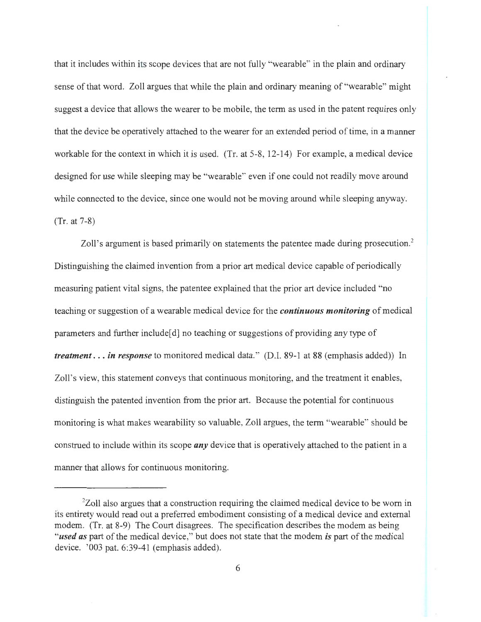that it includes within its scope devices that are not fully "wearable" in the plain and ordinary sense of that word. Zoll argues that while the plain and ordinary meaning of "wearable" might suggest a device that allows the wearer to be mobile, the term as used in the patent requires only that the device be operatively attached to the wearer for an extended period of time, in a manner workable for the context in which it is used. (Tr. at 5-8, 12-14) For example, a medical device designed for use while sleeping may be "wearable" even if one could not readily move around while connected to the device, since one would not be moving around while sleeping anyway. (Tr. at 7-8)

Zoll's argument is based primarily on statements the patentee made during prosecution.<sup>2</sup> Distinguishing the claimed invention from a prior art medical device capable of periodically measuring patient vital signs, the patentee explained that the prior art device included "no teaching or suggestion of a wearable medical device for the *continuous monitoring* of medical parameters and further include[d] no teaching or suggestions of providing any type of *treatment ... in response* to monitored medical data." (D.I. 89-1 at 88 (emphasis added)) In Zoll's view, this statement conveys that continuous monitoring, and the treatment it enables, distinguish the patented invention from the prior art. Because the potential for continuous monitoring is what makes wearability so valuable, Zoll argues, the term "wearable" should be construed to include within its scope *any* device that is operatively attached to the patient in a manner that allows for continuous monitoring.

<sup>&</sup>lt;sup>2</sup>Zoll also argues that a construction requiring the claimed medical device to be worn in its entirety would read out a preferred embodiment consisting of a medical device and external modem. (Tr. at 8-9) The Court disagrees. The specification describes the modem as being *"used as* part of the medical device," but does not state that the modem *is* part of the medical device. '003 pat. 6:39-41 (emphasis added).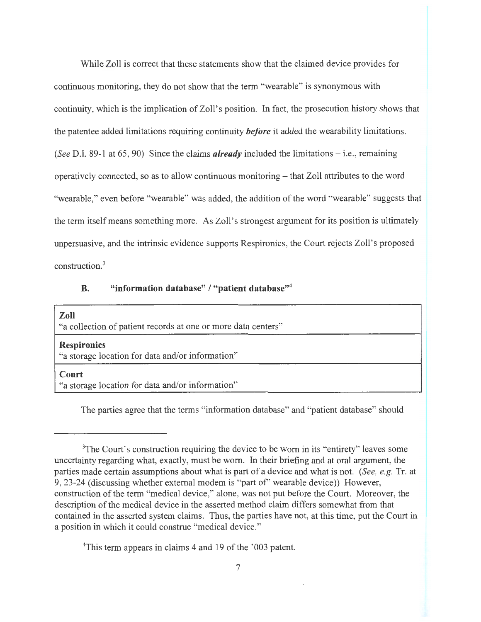While Zoll is correct that these statements show that the claimed device provides for continuous monitoring, they do not show that the term "wearable" is synonymous with continuity, which is the implication of Zoll's position. In fact, the prosecution history shows that the patentee added limitations requiring continuity *before* it added the wearability limitations. *(See* D.I. 89-1 at 65, 90) Since the claims *already* included the limitations - i.e., remaining operatively connected, so as to allow continuous monitoring - that Zoll attributes to the word "wearable," even before "wearable" was added, the addition of the word "wearable" suggests that the term itself means something more. As Zoll's strongest argument for its position is ultimately unpersuasive, and the intrinsic evidence supports Respironics, the Court rejects Zoll's proposed construction. 3

### B. "information database" / "patient database"<sup>4</sup>

### Zoll

"a collection of patient records at one or more data centers"

#### **Respironics**

"a storage location for data and/or information"

### **Court**

"a storage location for data and/or information"

The parties agree that the terms "information database" and "patient database" should

<sup>4</sup>This term appears in claims 4 and 19 of the '003 patent.

<sup>&</sup>lt;sup>3</sup>The Court's construction requiring the device to be worn in its "entirety" leaves some uncertainty regarding what, exactly, must be worn. In their briefing and at oral argument, the parties made certain assumptions about what is part of a device and what is not. *(See, e.g.* Tr. at 9, 23-24 (discussing whether external modem is "part of' wearable device)) However, construction of the term "medical device," alone, was not put before the Court. Moreover, the description of the medical device in the asserted method claim differs somewhat from that contained in the asserted system claims. Thus, the parties have not, at this time, put the Court in a position in which it could construe "medical device."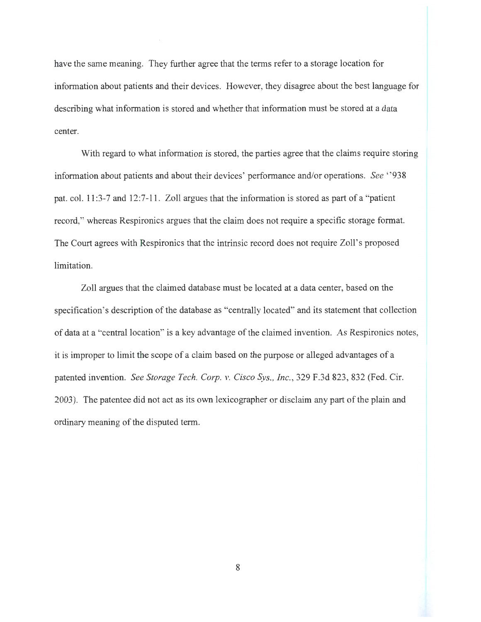have the same meaning. They further agree that the terms refer to a storage location for information about patients and their devices. However, they disagree about the best language for describing what information is stored and whether that information must be stored at a data center.

With regard to what information is stored, the parties agree that the claims require storing information about patients and about their devices' performance and/or operations. *See* " 938 pat. col. 11:3-7 and 12:7-11. Zoll argues that the information is stored as part of a "patient record," whereas Respironics argues that the claim does not require a specific storage format. The Court agrees with Respironics that the intrinsic record does not require Zoll's proposed limitation.

Zoll argues that the claimed database must be located at a data center, based on the specification's description of the database as "centrally located" and its statement that collection of data at a "central location" is a key advantage of the claimed invention. As Respironics notes, it is improper to limit the scope of a claim based on the purpose or alleged advantages of a patented invention. *See Storage Tech. Corp. v. Cisco Sys., Inc. ,* 329 F.3d 823, 832 (Fed. Cir. 2003). The patentee did not act as its own lexicographer or disclaim any part of the plain and ordinary meaning of the disputed term.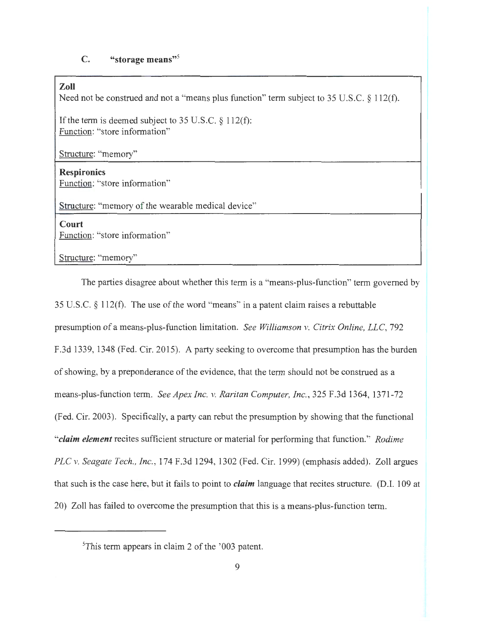### **C. "storage means"<sup>5</sup>**

**Zoll** 

Need not be construed and not a "means plus function" term subject to 35 U.S.C.  $\S$  112(f).

If the term is deemed subject to 35 U.S.C. § 112(f): Function: "store information"

Structure: "memory"

**Resp ironies**  Function: "store information"

Structure: "memory of the wearable medical device"

**Court**  Function: "store information"

Structure: "memory"

The parties disagree about whether this term is a "means-plus-function" term governed by 35 U.S.C. § 112(f). The use of the word "means" in a patent claim raises a rebuttable presumption of a means-plus-function limitation. *See Williamson v. Citrix Online, LLC,* 792 F.3d 1339, 1348 (Fed. Cir. 2015). A party seeking to overcome that presumption has the burden of showing, by a preponderance of the evidence, that the term should not be construed as a means-plus-function term. *See Apex Inc. v. Raritan Computer, Inc.,* 325 F.3d 1364, 1371-72 (Fed. Cir. 2003). Specifically, a party can rebut the presumption by showing that the functional *"claim element* recites sufficient structure or material for performing that function." *Rodime PLC v. Seagate Tech. , Inc.,* 174 F.3d 1294, 1302 (Fed. Cir. 1999) (emphasis added). Zoll argues that such is the case here, but it fails to point to *claim* language that recites structure. (D.I. 109 at 20) Zoll has failed to overcome the presumption that this is a means-plus-function term.

<sup>&</sup>lt;sup>5</sup>This term appears in claim 2 of the '003 patent.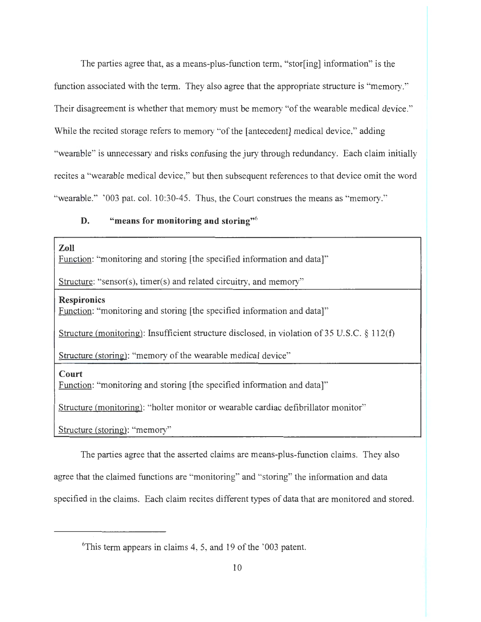The parties agree that, as a means-plus-function term, "stor[ing] information" is the function associated with the term. They also agree that the appropriate structure is "memory." Their disagreement is whether that memory must be memory "of the wearable medical device." While the recited storage refers to memory "of the [antecedent] medical device," adding "wearable" is unnecessary and risks confusing the jury through redundancy. Each claim initially recites a "wearable medical device," but then subsequent references to that device omit the word "wearable." '003 pat. col. 10:30-45. Thus, the Court construes the means as "memory."

# **D. "means for monitoring and storing"6**

**Zoll** 

Function: "monitoring and storing [the specified information and data]"

Structure: "sensor(s), timer(s) and related circuitry, and memory"

**Resp ironies** 

Function: "monitoring and storing [the specified information and data]"

Structure (monitoring): Insufficient structure disclosed, in violation of 35 U.S.C. § 112(f)

Structure (storing): "memory of the wearable medical device"

**Court** 

Function: "monitoring and storing [the specified information and data]"

Structure (monitoring): "holter monitor or wearable cardiac defibrillator monitor"

Structure (storing): "memory"

The parties agree that the asserted claims are means-plus-function claims. They also

agree that the claimed functions are "monitoring" and "storing" the information and data

specified in the claims. Each claim recites different types of data that are monitored and stored.

<sup>6</sup> This term appears in claims 4, 5, and 19 of the '003 patent.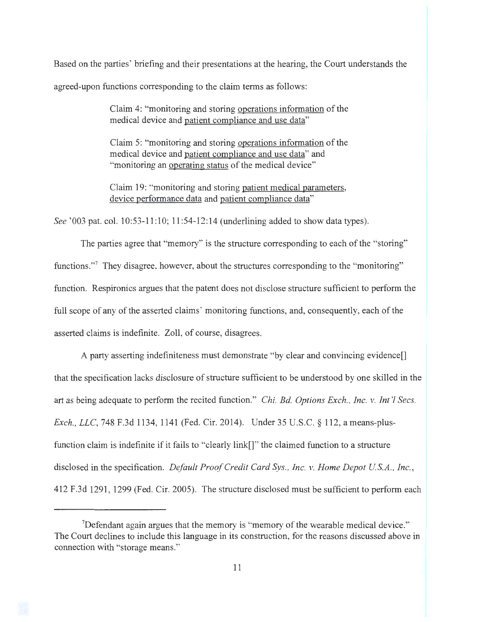Based on the parties' briefing and their presentations at the hearing, the Court understands the agreed-upon functions corresponding to the claim terms as follows:

> Claim 4: "monitoring and storing operations information of the medical device and patient compliance and use data"

> Claim 5: "monitoring and storing operations information of the medical device and patient compliance and use data" and "monitoring an operating status of the medical device"

> Claim 19: "monitoring and storing patient medical parameters, device performance data and patient compliance data"

*See* ' 003 pat. col. 10:53-11:10; 11 :54-12:14 (underlining added to show data types).

The parties agree that "memory" is the structure corresponding to each of the "storing" functions."<sup>7</sup> They disagree, however, about the structures corresponding to the "monitoring" function. Respironics argues that the patent does not disclose structure sufficient to perform the full scope of any of the asserted claims' monitoring functions, and, consequently, each of the asserted claims is indefinite. Zoll, of course, disagrees.

A party asserting indefiniteness must demonstrate "by clear and convincing evidence[] that the specification lacks disclosure of structure sufficient to be understood by one skilled in the art as being adequate to perform the recited function." *Chi. Bd. Options Exch., Inc. v. Int'l Secs. Exch., LLC,* 748 F.3d 1134, 1141 (Fed. Cir. 2014). Under 35 U.S.C. § 112, a means-plusfunction claim is indefinite if it fails to "clearly link[]" the claimed function to a structure disclosed in the specification. *Default Proof Credit Card Sys., Inc. v. Home Depot U.S.A., Inc.*, 412 F.3d 1291 , 1299 (Fed. Cir. 2005). The structure disclosed must be sufficient to perform each

<sup>&</sup>lt;sup>7</sup>Defendant again argues that the memory is "memory of the wearable medical device." The Court declines to include this language in its construction, for the reasons discussed above in connection with "storage means."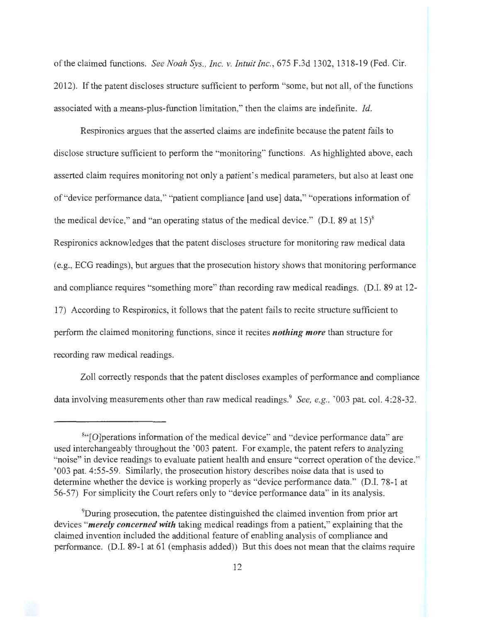of the claimed functions. *See Noah Sys., Inc. v. Intuit Inc.,* 675 F.3d 1302, 1318-19 (Fed. Cir. 2012). If the patent discloses structure sufficient to perform "some, but not all, of the functions associated with a means-plus-function limitation," then the claims are indefinite. *Id.* 

Respironics argues that the asserted claims are indefinite because the patent fails to disclose structure sufficient to perform the "monitoring" functions. As highlighted above, each asserted claim requires monitoring not only a patient's medical parameters, but also at least one of "device performance data," "patient compliance [and use] data," "operations information of the medical device," and "an operating status of the medical device." (D.I. 89 at 15) $\delta$ Respironics acknowledges that the patent discloses structure for monitoring raw medical data (e.g., ECG readings), but argues that the prosecution history shows that monitoring performance and compliance requires "something more" than recording raw medical readings. (D.I. 89 at 12- 17) According to Respironics, it follows that the patent fails to recite structure sufficient to perform the claimed monitoring functions, since it recites *nothing more* than structure for recording raw medical readings.

Zoll correctly responds that the patent discloses examples of performance and compliance data involving measurements other than raw medical readings.<sup>9</sup> See, e.g., '003 pat. col. 4:28-32.



<sup>&</sup>lt;sup>8"</sup>[O]perations information of the medical device" and "device performance data" are used interchangeably throughout the '003 patent. For example, the patent refers to analyzing "noise" in device readings to evaluate patient health and ensure "correct operation of the device." '003 pat. 4:55-59. Similarly, the prosecution history describes noise data that is used to determine whether the device is working properly as "device performance data." (D.I. 78-1 at 56-57) For simplicity the Court refers only to "device performance data" in its analysis.

<sup>9</sup> During prosecution, the patentee distinguished the claimed invention from prior art devices *"merely concerned with* taking medical readings from a patient," explaining that the claimed invention included the additional feature of enabling analysis of compliance and performance. (D.I. 89-1 at 61 (emphasis added)) But this does not mean that the claims require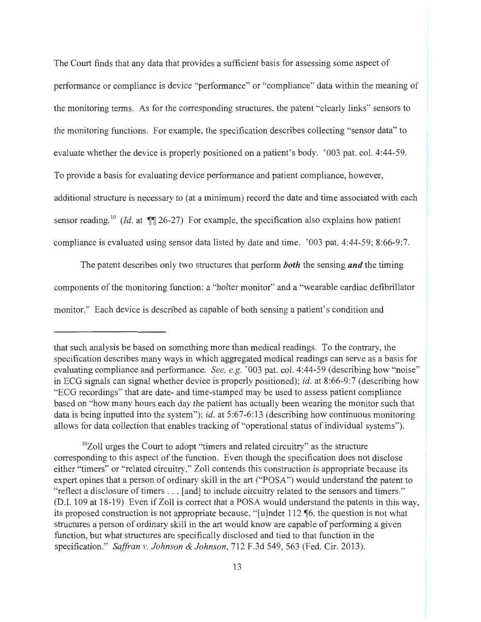The Court finds that any data that provides a sufficient basis for assessing some aspect of performance or compliance is device "performance" or "compliance" data within the meaning of the monitoring terms. As for the corresponding structures, the patent "clearly links" sensors to the monitoring functions. For example, the specification describes collecting "sensor data" to evaluate whether the device is properly positioned on a patient's body. '003 pat. col. 4:44-59. To provide a basis for evaluating device performance and patient compliance, however, additional structure is necessary to (at a minimum) record the date and time associated with each sensor reading.<sup>10</sup> (*Id.* at  $\P$  26-27) For example, the specification also explains how patient compliance is evaluated using sensor data listed by date and time. '003 pat. 4:44-59; 8:66-9:7.

The patent describes only two structures that perform *both* the sensing *and* the timing components of the monitoring function: a "holter monitor" and a "wearable cardiac defibrillator monitor." Each device is described as capable of both sensing a patient's condition and

that such analysis be based on something more than medical readings. To the contrary, the specification describes many ways in which aggregated medical readings can serve as a basis for evaluating compliance and performance. *See, e.g.* '003 pat. col. 4:44-59 (describing how "noise" in ECG signals can signal whether device is properly positioned); *id.* at 8:66-9:7 (describing how "ECG recordings" that are date- and time-stamped may be used to assess patient compliance based on "how many hours each day the patient has actually been wearing the monitor such that data is being inputted into the system"); *id.* at 5:67-6: 13 (describing how continuous monitoring allows for data collection that enables tracking of "operational status of individual systems").

 $10Z$ oll urges the Court to adopt "timers and related circuitry" as the structure corresponding to this aspect of the function. Even though the specification does not disclose either "timers" or "related circuitry," Zoll contends this construction is appropriate because its expert opines that a person of ordinary skill in the art ("POSA") would understand the patent to "reflect a disclosure of timers . . . [and] to include circuitry related to the sensors and timers." (D .I. 109 at 18-19) Even if Zoll is correct that a POSA would understand the patents in this way, its proposed construction is not appropriate because, " [u]nder 112 if6, the question is not what structures a person of ordinary skill in the art would know are capable of performing a given function, but what structures are specifically disclosed and tied to that function in the specification." *Saffran v. Johnson* & *Johnson,* 712 F.3d 549, 563 (Fed. Cir. 2013).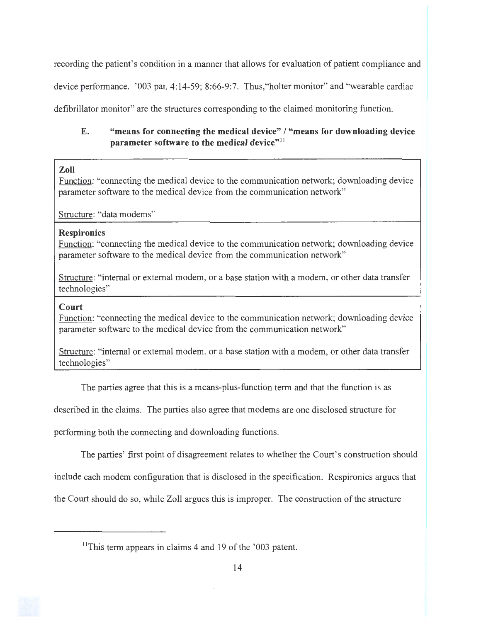recording the patient's condition in a manner that allows for evaluation of patient compliance and

device performance. '003 pat. 4:14-59; 8:66-9:7. Thus,"holter monitor" and "wearable cardiac

defibrillator monitor" are the structures corresponding to the claimed monitoring function.

# **E. "means for connecting the medical device" I "means for downloading device parameter software to the medical device**"<sup>11</sup>

# **Zoll**

Function: "connecting the medical device to the communication network; downloading device parameter software to the medical device from the communication network"

Structure: "data modems"

# **Respironics**

Function: "connecting the medical device to the communication network; downloading device parameter software to the medical device from the communication network"

Structure: "internal or external modem, or a base station with a modem, or other data transfer technologies"

# **Court**

Function: "connecting the medical device to the communication network; downloading device parameter software to the medical device from the communication network"

Structure: "internal or external modem, or a base station with a modem, or other data transfer technologies"

The parties agree that this is a means-plus-function term and that the function is as

described in the claims. The parties also agree that modems are one disclosed structure for

performing both the connecting and downloading functions.

The parties' first point of disagreement relates to whether the Court's construction should

include each modem configuration that is disclosed in the specification. Respironics argues that

the Court should do so, while Zoll argues this is improper. The construction of the structure

 $11$ This term appears in claims 4 and 19 of the '003 patent.



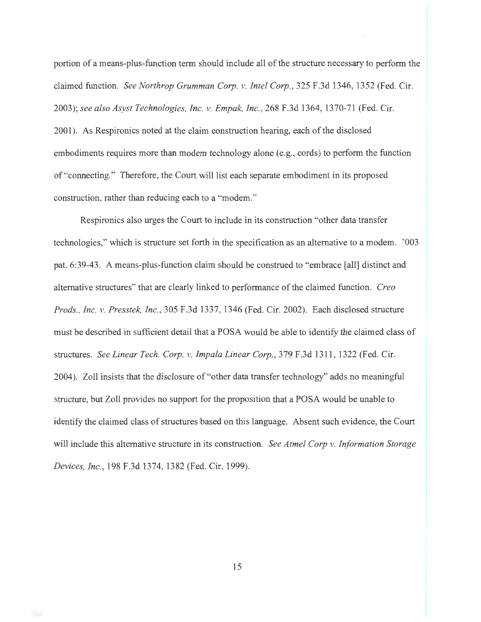portion of a means-plus-function term should include all of the structure necessary to perform the claimed function. *See Northrop Grumman Corp. v. Intel Corp.,* 325 F.3d 1346, 1352 (Fed. Cir. 2003); *see also Asyst Technologies, Inc. v. Empak, Inc.,* 268 F.3d 1364, 1370-71 (Fed. Cir. 2001 ). As Respironics noted at the claim construction hearing, each of the disclosed embodiments requires more than modem technology alone (e.g., cords) to perform the function of "connecting." Therefore, the Court will list each separate embodiment in its proposed construction, rather than reducing each to a "modem."

Respironics also urges the Court to include in its construction "other data transfer technologies," which is structure set forth in the specification as an alternative to a modem. '003 pat. 6:39-43. A means-plus-function claim should be construed to "embrace [all) distinct and alternative structures" that are clearly linked to performance of the claimed function. *Crea Prods. , Inc. v. Presstek, Inc. ,* 305 F.3d 1337, 1346 (Fed. Cir. 2002). Each disclosed structure must be described in sufficient detail that a POSA would be able to identify the claimed class of structures. *See Linear Tech. Corp. v. Impala Linear Corp. ,* 379 F.3d 1311 , 1322 (Fed. Cir. 2004). Zoll insists that the disclosure of "other data transfer technology" adds no meaningful structure, but Zoll provides no support for the proposition that a POSA would be unable to identify the claimed class of structures based on this language. Absent such evidence, the Court will include this alternative structure in its construction. *See Atmel Corp v. Information Storage Devices, Inc. ,* 198 F.3d 1374, 1382 (Fed. Cir. 1999).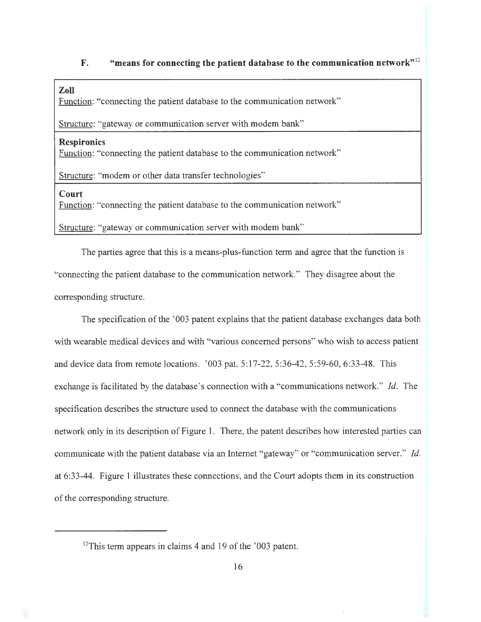# **F.** "means for connecting the patient database to the communication network"<sup>12</sup>

## **Zoll**

Function: "connecting the patient database to the communication network"

Structure: "gateway or communication server with modem bank"

#### **Respironics**

Function: "connecting the patient database to the communication network"

Structure: "modem or other data transfer technologies"

#### **Court**

Function: "connecting the patient database to the communication network"

Structure: "gateway or communication server with modem bank"

The parties agree that this is a means-plus-function term and agree that the function is "connecting the patient database to the communication network." They disagree about the corresponding structure.

The specification of the '003 patent explains that the patient database exchanges data both with wearable medical devices and with "various concerned persons" who wish to access patient and device data from remote locations. '003 pat. 5:17-22, 5:36-42, 5:59-60, 6:33-48. This exchange is facilitated by the database's connection with a "communications network." *Id.* The specification describes the structure used to connect the database with the communications network only in its description of Figure 1. There, the patent describes how interested parties can communicate with the patient database via an Internet "gateway" or "communication server." *Id.*  at 6:33-44. Figure 1 illustrates these connections, and the Court adopts them in its construction of the corresponding structure.

<sup>&</sup>lt;sup>12</sup>This term appears in claims 4 and 19 of the '003 patent.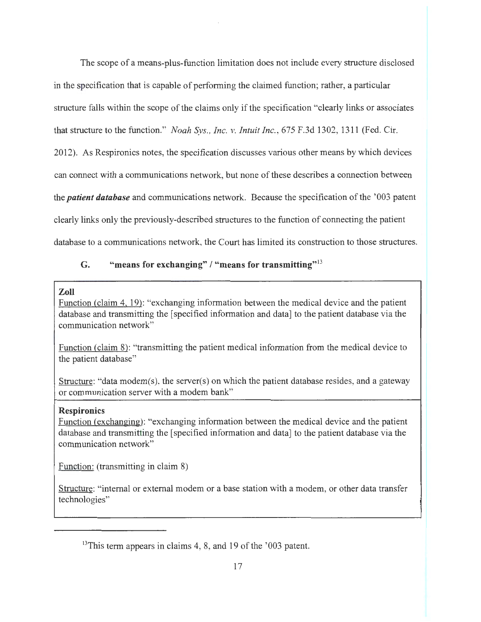The scope of a means-plus-function limitation does not include every structure disclosed in the specification that is capable of performing the claimed function; rather, a particular structure falls within the scope of the claims only if the specification "clearly links or associates that structure to the function." *Noah Sys., Inc. v. Intuit Inc.*, 675 F.3d 1302, 1311 (Fed. Cir. 2012). As Respironics notes, the specification discusses various other means by which devices can connect with a communications network, but none of these describes a connection between

the *patient database* and communications network. Because the specification of the ' 003 patent

clearly links only the previously-described structures to the function of connecting the patient

database to a communications network, the Court has limited its construction to those structures.

# **G. "means for exchanging" I "means for transmitting" <sup>13</sup>**

# **Zoll**

Function (claim 4, 19): "exchanging information between the medical device and the patient database and transmitting the [specified information and data] to the patient database via the communication network"

Function (claim 8): "transmitting the patient medical information from the medical device to the patient database"

Structure: "data modem(s), the server(s) on which the patient database resides, and a gateway or communication server with a modem bank"

# **Respironics**

Function (exchanging): "exchanging information between the medical device and the patient database and transmitting the [specified information and data] to the patient database via the communication network"

Function: (transmitting in claim 8)

Structure: "internal or external modem or a base station with a modem, or other data transfer technologies"

<sup>&</sup>lt;sup>13</sup>This term appears in claims 4, 8, and 19 of the '003 patent.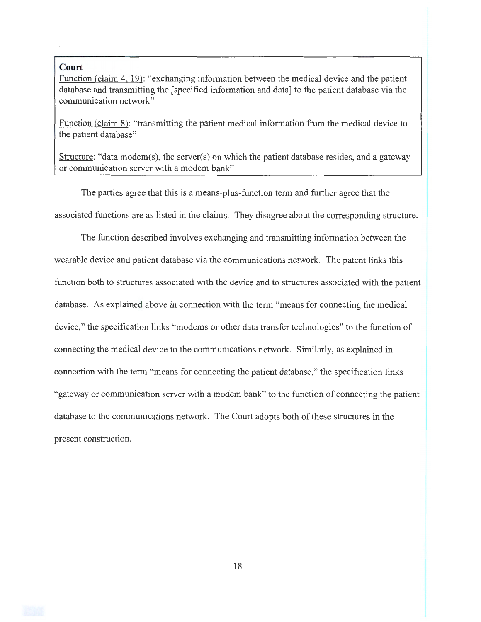#### **Court**

Function (claim 4, 19): "exchanging information between the medical device and the patient database and transmitting the [specified information and data] to the patient database via the communication network"

Function (claim 8): "transmitting the patient medical information from the medical device to the patient database"

Structure: "data modem(s), the server(s) on which the patient database resides, and a gateway or communication server with a modem bank"

The parties agree that this is a means-plus-function term and further agree that the associated functions are as listed in the claims. They disagree about the corresponding structure.

The function described involves exchanging and transmitting information between the wearable device and patient database via the communications network. The patent links this function both to structures associated with the device and to structures associated with the patient database. As explained above in connection with the term "means for connecting the medical device," the specification links "modems or other data transfer technologies" to the function of connecting the medical device to the communications network. Similarly, as explained in connection with the term "means for connecting the patient database," the specification links "gateway or communication server with a modem bank" to the function of connecting the patient database to the communications network. The Court adopts both of these structures in the present construction.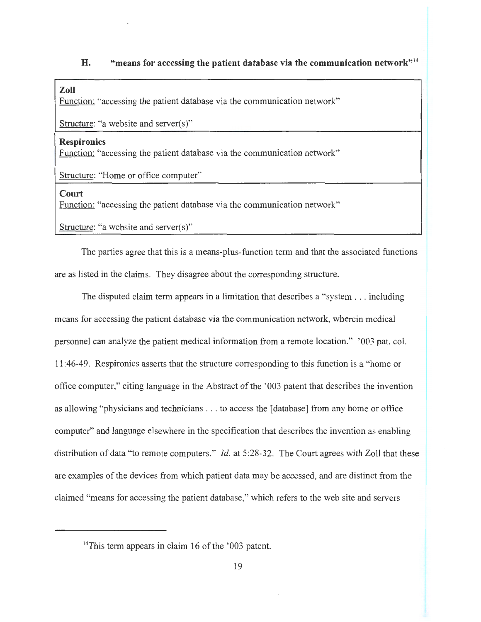# **H. "means for accessing the patient database via the communication network" <sup>14</sup>**

# **Zoll**

Function: "accessing the patient database via the communication network"

Structure: "a website and server(s)"

#### **Respironics**

Function: "accessing the patient database via the communication network"

Structure: "Home or office computer"

#### **Court**

Function: "accessing the patient database via the communication network"

Structure: "a website and server(s)"

The parties agree that this is a means-plus-function term and that the associated functions are as listed in the claims. They disagree about the corresponding structure.

The disputed claim term appears in a limitation that describes a "system . . . including means for accessing the patient database via the communication network, wherein medical personnel can analyze the patient medical information from a remote location." ' 003 pat. col. 11 :46-49. Respironics asserts that the structure corresponding to this function is a "home or office computer," citing language in the Abstract of the ' 003 patent that describes the invention as allowing "physicians and technicians . . . to access the [database] from any home or office computer" and language elsewhere in the specification that describes the invention as enabling distribution of data "to remote computers." *Id.* at 5:28-32. The Court agrees with Zoll that these are examples of the devices from which patient data may be accessed, and are distinct from the claimed "means for accessing the patient database," which refers to the web site and servers

 $14$ This term appears in claim 16 of the '003 patent.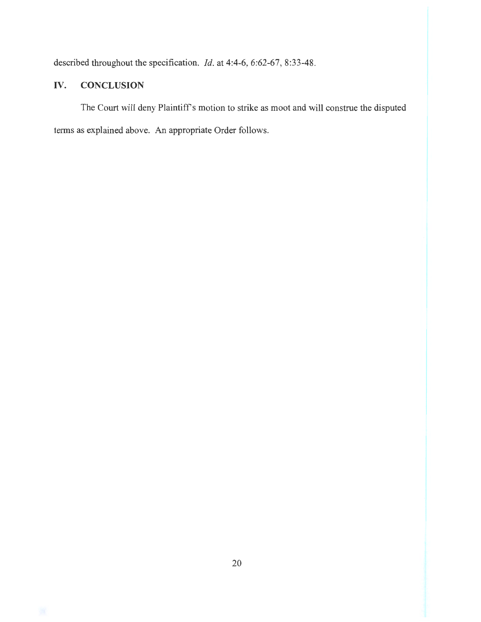described throughout the specification. *Id.* at 4:4-6, 6:62-67, 8:33-48.

# IV. **CONCLUSION**

The Court will deny Plaintiff's motion to strike as moot and will construe the disputed terms as explained above. An appropriate Order follows.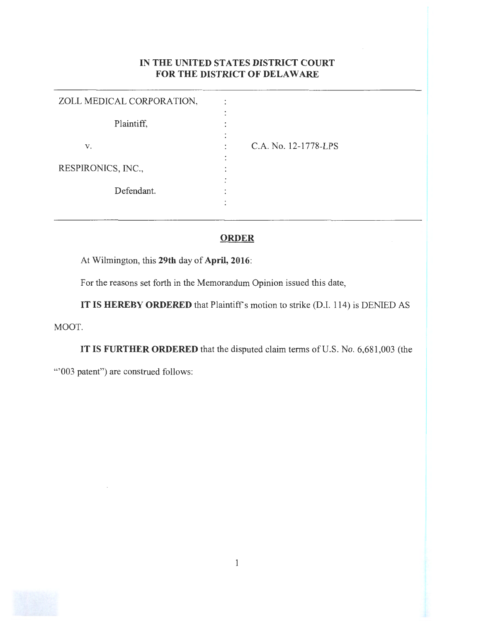# IN THE UNITED STATES DISTRICT COURT FOR THE DISTRICT OF DELAWARE

| ZOLL MEDICAL CORPORATION, |                      |
|---------------------------|----------------------|
|                           |                      |
| Plaintiff,                |                      |
|                           |                      |
| v.                        | C.A. No. 12-1778-LPS |
|                           |                      |
| RESPIRONICS, INC.,        |                      |
|                           |                      |
| Defendant.                |                      |
|                           |                      |
|                           |                      |

# **ORDER**

At Wilmington, this 29th day of April, 2016:

For the reasons set forth in the Memorandum Opinion issued this date,

IT IS HEREBY ORDERED that Plaintiff's motion to strike (D.I. 114) is DENIED AS MOOT.

IT IS FURTHER ORDERED that the disputed claim terms of U.S. No. 6,681 ,003 (the "'003 patent") are construed follows:

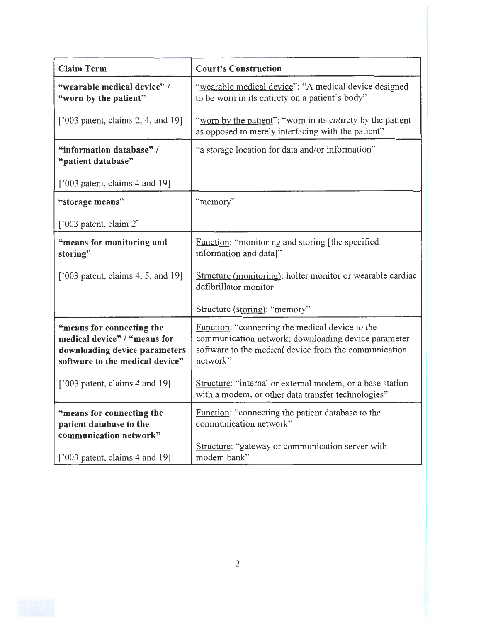| <b>Claim Term</b>                                                                                                             | <b>Court's Construction</b>                                                                                                                                                 |
|-------------------------------------------------------------------------------------------------------------------------------|-----------------------------------------------------------------------------------------------------------------------------------------------------------------------------|
| "wearable medical device" /<br>"worn by the patient"                                                                          | "wearable medical device": "A medical device designed<br>to be worn in its entirety on a patient's body"                                                                    |
| [ $'003$ patent, claims 2, 4, and 19]                                                                                         | "worn by the patient": "worn in its entirety by the patient<br>as opposed to merely interfacing with the patient"                                                           |
| "information database" /<br>"patient database"                                                                                | "a storage location for data and/or information"                                                                                                                            |
| $[$ '003 patent, claims 4 and 19]                                                                                             |                                                                                                                                                                             |
| "storage means"                                                                                                               | "memory"                                                                                                                                                                    |
| $[$ '003 patent, claim 2]                                                                                                     |                                                                                                                                                                             |
| "means for monitoring and<br>storing"                                                                                         | Function: "monitoring and storing [the specified]<br>information and data]"                                                                                                 |
| [ $'003$ patent, claims 4, 5, and 19]                                                                                         | Structure (monitoring): holter monitor or wearable cardiac<br>defibrillator monitor                                                                                         |
|                                                                                                                               | Structure (storing): "memory"                                                                                                                                               |
| "means for connecting the<br>medical device" / "means for<br>downloading device parameters<br>software to the medical device" | Function: "connecting the medical device to the<br>communication network; downloading device parameter<br>software to the medical device from the communication<br>network" |
| $[2003$ patent, claims 4 and 19]                                                                                              | Structure: "internal or external modem, or a base station<br>with a modem, or other data transfer technologies"                                                             |
| "means for connecting the<br>patient database to the<br>communication network"                                                | Function: "connecting the patient database to the<br>communication network"<br>Structure: "gateway or communication server with                                             |
| ['003 patent, claims 4 and 19]                                                                                                | modem bank"                                                                                                                                                                 |